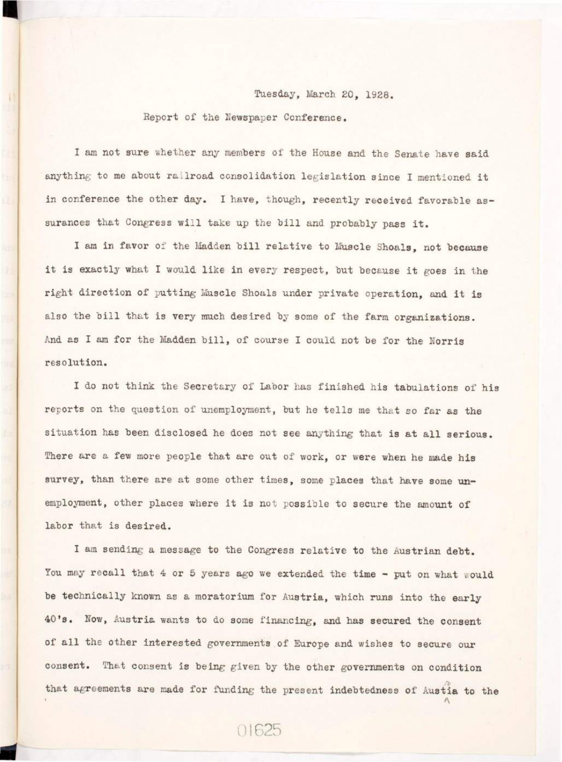## Tuesday, March 20, 1928.

## Report of the Newspaper Conference.

I am not sure whether any members of the House and the Senate have said anything to me about railroad consolidation legislation since I mentioned it in conference the other day. I have, though, recently received favorable assurances that Congress will take up the bill and probably pass it.

I am in favor of the Madden bill relative to Muscle Shoals, not because it is exactly what I would like in every respect, but because it goes in the right direction of putting Muscle Shoals under private operation, and it is also the bill that is very much desired by some of the farm organizations. And as I am for the Madden bill, of course I could not be for the Norris resolution.

I do not think the Secretary of Labor has finished his tabulations of his reports on the question of unemployment, but he tells me that so far as the situation has been disclosed he does not see anything that is at all serious. There are a few more people that are out of work, or were when he made his survey, than there are at some other times, some places that have some unemployment, other places where it is not possible to secure the amount of labor that is desired.

I am sending a message to the Congress relative to the Austrian debt. You may recall that 4 or 5 years ago we extended the time - put on what would be technically known as a moratorium for Austria, which runs into the early 40's. Now, Austria wants to do some financing, and has secured the consent of all the other interested governments of Europe and wishes to secure our consent. That consent is being given by the other governments on condition that agreements are made for funding the present indebtedness of Austia to the

01625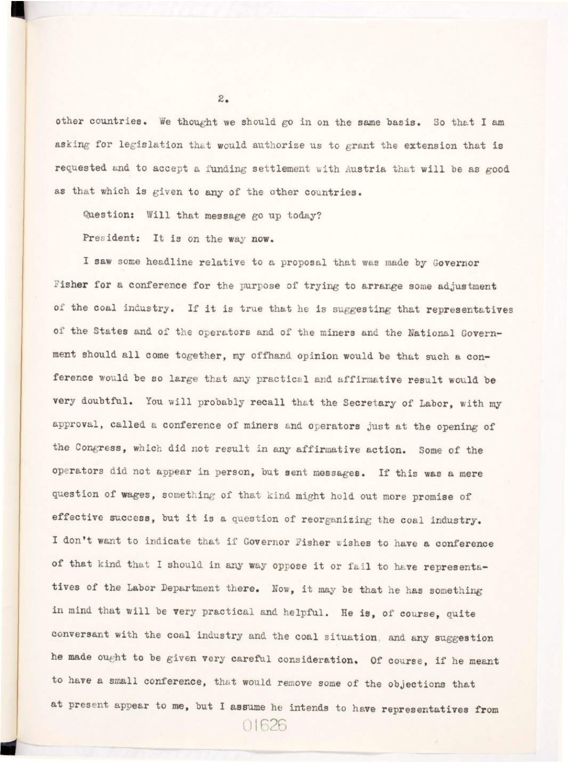other countries. We thought we should go in on the same basis. So that I am asking for legislation that would authorize us to grant the extension that is requested and to accept a funding settlement with Austria that will be as good as that which is given to any of the other countries.

Question: Will that message go up today?

 $2.5$ 

President: It is on the way now.

I saw some headline relative to a proposal that was made by Governor Fisher for a conference for the purpose of trying to arrange some adjustment of the coal industry. If it is true that he is suggesting that representatives of the States and of the operators and of the miners and the National Government should all come together, my offhand opinion would be that such a conference would be so large that any practical and affirmative result would be very doubtful. You will probably recall that the Secretary of Labor, with my approval, called a conference of miners and operators just at the opening of the Congress, which did not result in any affirmative action. Some of the operators did not appear in person, but sent messages. If this was a mere question of wages, something of that kind might hold out more promise of effective success, but it is a question of reorganizing the coal industry. I don't want to indicate that if Governor Fisher wishes to have a conference of that kind that I should in any way oppose it or fail to have representatives of the Labor Department there. Now, it may be that he has something in mind that will be very practical and helpful. He is, of course, quite conversant with the coal industry and the coal situation, and any suggestion he made ought to be given very careful consideration. Of course, if he meant to have a small conference, that would remove some of the objections that at present appear to me, but I assume he intends to have representatives from

**01626**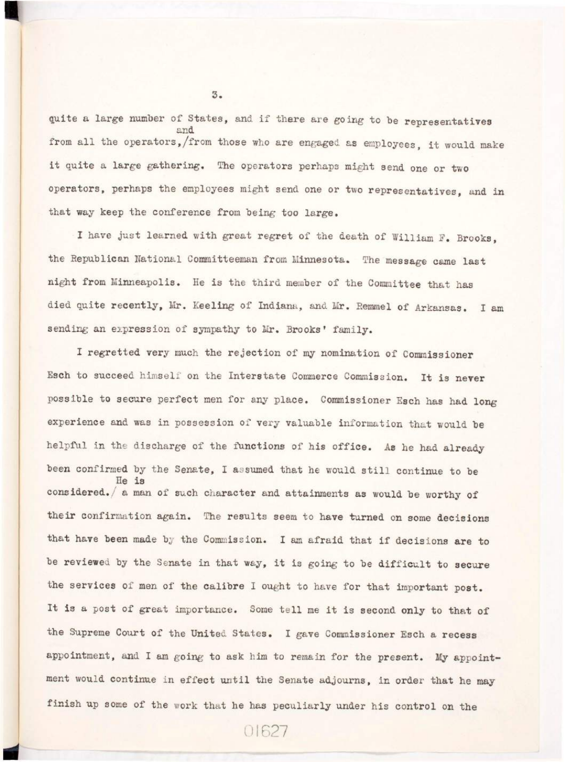quite a large number of States, and if there are going to be representatives and<br>from all the operators, from those who are engaged as employees. it would make it quite a large gathering. The operators perhaps might send one or two operators, perhaps the employees might send one or two representatives, and in operators, perhaps the employees might send one or two representatives, and i n that way keep the conference from being too large.

I have jus t learned with great regret of the death of William F. Brooks, the Republican National Committeeman from Minnesota. The message came last night from Minneapolis. He is the third member of the Committee that has died quite recently, Mr. Keeling of Indiana, and Mr. Remmel of Arkansas. I am sending an expression of sympathy to Mr. Brooks' family.

I regretted very much the rejection of my nomination of Commissioner Esch to succeed himself on the Interstate Commerce Commission. It is never possible to secure perfect men for any place. Commissioner Esch has had long experience and was in possession of very valuable information that would be helpfu l i n the discharge of the functions of the functions of his office . As he had already she had already been confirmed by the Senate, I assumed that he would still continue to be  $He$  is considered./ a man of such character and attainments as would be worthy of their confirmation again. The results seem to have turned on some decisions the services of men of the calibre I ought to have for that important post. I t is a post of great importance. Some the later in the later of the line of the line of the second only to t appointment, and I am going to ask him to remain for the present. My appointment would continue in effect until the Senate adjourns, in order that he may ment would continue it the Senate adjournal the Senate adjournal the Senate adjournal to the may be may be may finish up some of the work that he has peculiarly under his control on the

 $5.$ 

sending an expression of sympathy to Mr. Brooks' family.

01627